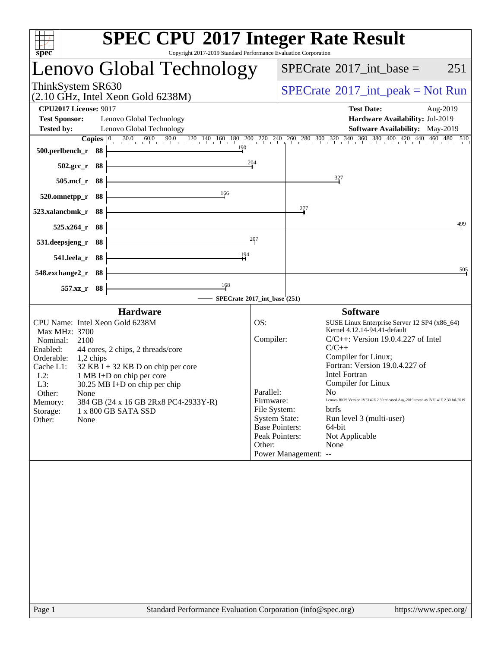| Copyright 2017-2019 Standard Performance Evaluation Corporation<br>spec <sup>®</sup>                                                    |                                                    | <b>SPEC CPU®2017 Integer Rate Result</b>                                                                                                                                                                                  |     |  |  |
|-----------------------------------------------------------------------------------------------------------------------------------------|----------------------------------------------------|---------------------------------------------------------------------------------------------------------------------------------------------------------------------------------------------------------------------------|-----|--|--|
| Lenovo Global Technology                                                                                                                |                                                    | $SPECTate$ <sup>®</sup> 2017_int_base =                                                                                                                                                                                   | 251 |  |  |
| ThinkSystem SR630<br>$(2.10 \text{ GHz}, \text{Intel Xeon Gold } 6238\text{M})$                                                         | $SPECrate^{\circledcirc}2017\_int\_peak = Not Run$ |                                                                                                                                                                                                                           |     |  |  |
| <b>CPU2017 License: 9017</b>                                                                                                            |                                                    | <b>Test Date:</b><br>Aug-2019                                                                                                                                                                                             |     |  |  |
| <b>Test Sponsor:</b><br>Lenovo Global Technology                                                                                        |                                                    | Hardware Availability: Jul-2019                                                                                                                                                                                           |     |  |  |
| <b>Tested by:</b><br>Lenovo Global Technology                                                                                           |                                                    | Software Availability: May-2019<br><b>Copies</b> $\begin{bmatrix} 0 & 30.0 & 60.0 & 90.0 & 120 & 140 & 160 & 180 & 200 & 220 & 240 & 260 & 300 & 320 & 340 & 360 & 380 & 400 & 420 & 440 & 460 & 480 & 510 \end{bmatrix}$ |     |  |  |
| 190<br>$500.$ perlbench_r 88                                                                                                            |                                                    |                                                                                                                                                                                                                           |     |  |  |
| $502.\text{gcc}_r$ 88                                                                                                                   | 204                                                |                                                                                                                                                                                                                           |     |  |  |
| 505.mcf_r 88                                                                                                                            |                                                    | 327                                                                                                                                                                                                                       |     |  |  |
| 166<br>520.omnetpp_r 88                                                                                                                 |                                                    |                                                                                                                                                                                                                           |     |  |  |
| 523.xalancbmk_r 88                                                                                                                      |                                                    | $\frac{277}{4}$                                                                                                                                                                                                           |     |  |  |
| - 88<br>$525.x264$ _r                                                                                                                   |                                                    |                                                                                                                                                                                                                           | 499 |  |  |
| <u> 1989 - Johann Barbara, martxa a</u><br>531.deepsjeng_r 88                                                                           | 207                                                |                                                                                                                                                                                                                           |     |  |  |
| <u> 1989 - Johann Barn, mars ann an t-Amhain an t-Amhain an t-Amhain an t-Amhain an t-Amhain an t-Amhain an t-Amh</u><br>541.leela_r 88 | 194                                                |                                                                                                                                                                                                                           |     |  |  |
| 548.exchange2_r 88                                                                                                                      |                                                    |                                                                                                                                                                                                                           | 505 |  |  |
| 168<br>557.xz_r 88                                                                                                                      | - SPECrate®2017_int_base (251)                     |                                                                                                                                                                                                                           |     |  |  |
| <b>Hardware</b>                                                                                                                         |                                                    | <b>Software</b>                                                                                                                                                                                                           |     |  |  |
| CPU Name: Intel Xeon Gold 6238M                                                                                                         | OS:                                                | SUSE Linux Enterprise Server 12 SP4 (x86_64)                                                                                                                                                                              |     |  |  |
| Max MHz: 3700<br>Nominal:<br>2100                                                                                                       | Compiler:                                          | Kernel 4.12.14-94.41-default<br>$C/C++$ : Version 19.0.4.227 of Intel                                                                                                                                                     |     |  |  |
| Enabled:<br>44 cores, 2 chips, 2 threads/core                                                                                           |                                                    | $C/C++$                                                                                                                                                                                                                   |     |  |  |
| Orderable:<br>$1,2$ chips<br>$32$ KB I + 32 KB D on chip per core<br>Cache L1:                                                          |                                                    | Compiler for Linux;<br>Fortran: Version 19.0.4.227 of                                                                                                                                                                     |     |  |  |
| 1 MB I+D on chip per core<br>$L2$ :                                                                                                     |                                                    | <b>Intel Fortran</b>                                                                                                                                                                                                      |     |  |  |
| L3:<br>30.25 MB I+D on chip per chip                                                                                                    | Parallel:                                          | Compiler for Linux<br>No –                                                                                                                                                                                                |     |  |  |
| Other:<br>None<br>384 GB (24 x 16 GB 2Rx8 PC4-2933Y-R)<br>Memory:                                                                       | Firmware:                                          | Lenovo BIOS Version IVE142E 2.30 released Aug-2019 tested as IVE141E 2.30 Jul-2019                                                                                                                                        |     |  |  |
| Storage:<br>1 x 800 GB SATA SSD                                                                                                         | File System:                                       | <b>btrfs</b>                                                                                                                                                                                                              |     |  |  |
| Other:<br>None                                                                                                                          |                                                    | <b>System State:</b><br>Run level 3 (multi-user)<br>64-bit<br><b>Base Pointers:</b>                                                                                                                                       |     |  |  |
|                                                                                                                                         |                                                    | Peak Pointers:<br>Not Applicable                                                                                                                                                                                          |     |  |  |
|                                                                                                                                         | Other:                                             | None                                                                                                                                                                                                                      |     |  |  |
|                                                                                                                                         |                                                    | Power Management: --                                                                                                                                                                                                      |     |  |  |
|                                                                                                                                         |                                                    |                                                                                                                                                                                                                           |     |  |  |
|                                                                                                                                         |                                                    |                                                                                                                                                                                                                           |     |  |  |
|                                                                                                                                         |                                                    |                                                                                                                                                                                                                           |     |  |  |
|                                                                                                                                         |                                                    |                                                                                                                                                                                                                           |     |  |  |
|                                                                                                                                         |                                                    |                                                                                                                                                                                                                           |     |  |  |
|                                                                                                                                         |                                                    |                                                                                                                                                                                                                           |     |  |  |
|                                                                                                                                         |                                                    |                                                                                                                                                                                                                           |     |  |  |
|                                                                                                                                         |                                                    |                                                                                                                                                                                                                           |     |  |  |
|                                                                                                                                         |                                                    |                                                                                                                                                                                                                           |     |  |  |
|                                                                                                                                         |                                                    |                                                                                                                                                                                                                           |     |  |  |
| Standard Performance Evaluation Corporation (info@spec.org)<br>Page 1                                                                   |                                                    | https://www.spec.org/                                                                                                                                                                                                     |     |  |  |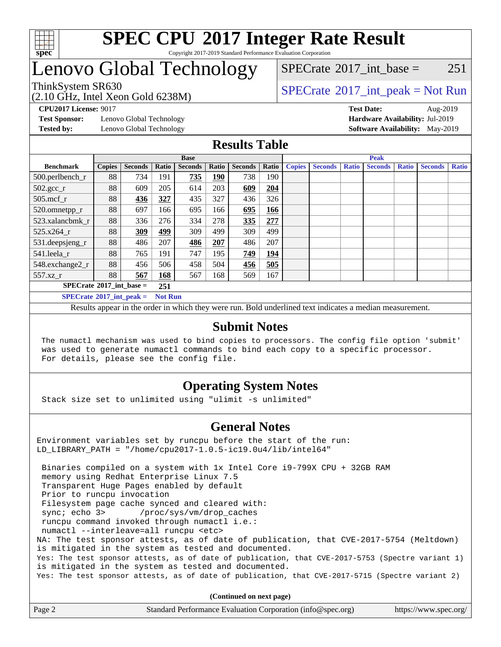

#### **[SPEC CPU](http://www.spec.org/auto/cpu2017/Docs/result-fields.html#SPECCPU2017IntegerRateResult)[2017 Integer Rate Result](http://www.spec.org/auto/cpu2017/Docs/result-fields.html#SPECCPU2017IntegerRateResult)** Copyright 2017-2019 Standard Performance Evaluation Corporation

### Lenovo Global Technology

(2.10 GHz, Intel Xeon Gold 6238M)

ThinkSystem SR630<br>  $SPECTA = Not Run$ <br>  $SPECTA = Not Run$  $SPECTate^{\circledcirc}2017$  int base = 251

**[Test Sponsor:](http://www.spec.org/auto/cpu2017/Docs/result-fields.html#TestSponsor)** Lenovo Global Technology **[Hardware Availability:](http://www.spec.org/auto/cpu2017/Docs/result-fields.html#HardwareAvailability)** Jul-2019 **[Tested by:](http://www.spec.org/auto/cpu2017/Docs/result-fields.html#Testedby)** Lenovo Global Technology **[Software Availability:](http://www.spec.org/auto/cpu2017/Docs/result-fields.html#SoftwareAvailability)** May-2019

**[CPU2017 License:](http://www.spec.org/auto/cpu2017/Docs/result-fields.html#CPU2017License)** 9017 **[Test Date:](http://www.spec.org/auto/cpu2017/Docs/result-fields.html#TestDate)** Aug-2019

### **[Results Table](http://www.spec.org/auto/cpu2017/Docs/result-fields.html#ResultsTable)**

|                                   | <b>Base</b>   |                |                |                |       | <b>Peak</b>    |            |               |                |              |                |              |                |              |
|-----------------------------------|---------------|----------------|----------------|----------------|-------|----------------|------------|---------------|----------------|--------------|----------------|--------------|----------------|--------------|
| <b>Benchmark</b>                  | <b>Copies</b> | <b>Seconds</b> | Ratio          | <b>Seconds</b> | Ratio | <b>Seconds</b> | Ratio      | <b>Copies</b> | <b>Seconds</b> | <b>Ratio</b> | <b>Seconds</b> | <b>Ratio</b> | <b>Seconds</b> | <b>Ratio</b> |
| 500.perlbench_r                   | 88            | 734            | 191            | 735            | 190   | 738            | 190        |               |                |              |                |              |                |              |
| $502.\text{sec}$                  | 88            | 609            | 205            | 614            | 203   | 609            | 204        |               |                |              |                |              |                |              |
| 505.mcf r                         | 88            | 436            | 327            | 435            | 327   | 436            | 326        |               |                |              |                |              |                |              |
| 520.omnetpp_r                     | 88            | 697            | 166            | 695            | 166   | 695            | 166        |               |                |              |                |              |                |              |
| 523.xalancbmk r                   | 88            | 336            | 276            | 334            | 278   | 335            | 277        |               |                |              |                |              |                |              |
| 525.x264 r                        | 88            | 309            | 499            | 309            | 499   | 309            | 499        |               |                |              |                |              |                |              |
| 531.deepsjeng_r                   | 88            | 486            | 207            | 486            | 207   | 486            | 207        |               |                |              |                |              |                |              |
| 541.leela r                       | 88            | 765            | 191            | 747            | 195   | 749            | <u>194</u> |               |                |              |                |              |                |              |
| 548.exchange2_r                   | 88            | 456            | 506            | 458            | 504   | 456            | 505        |               |                |              |                |              |                |              |
| 557.xz r                          | 88            | 567            | 168            | 567            | 168   | 569            | 167        |               |                |              |                |              |                |              |
| $SPECrate^{\circ}2017$ int base = |               |                |                |                |       |                |            |               |                |              |                |              |                |              |
| $SPECrate^{\circ}2017$ int peak = |               |                | <b>Not Run</b> |                |       |                |            |               |                |              |                |              |                |              |

Results appear in the [order in which they were run](http://www.spec.org/auto/cpu2017/Docs/result-fields.html#RunOrder). Bold underlined text [indicates a median measurement](http://www.spec.org/auto/cpu2017/Docs/result-fields.html#Median).

#### **[Submit Notes](http://www.spec.org/auto/cpu2017/Docs/result-fields.html#SubmitNotes)**

 The numactl mechanism was used to bind copies to processors. The config file option 'submit' was used to generate numactl commands to bind each copy to a specific processor. For details, please see the config file.

### **[Operating System Notes](http://www.spec.org/auto/cpu2017/Docs/result-fields.html#OperatingSystemNotes)**

Stack size set to unlimited using "ulimit -s unlimited"

### **[General Notes](http://www.spec.org/auto/cpu2017/Docs/result-fields.html#GeneralNotes)**

Environment variables set by runcpu before the start of the run: LD\_LIBRARY\_PATH = "/home/cpu2017-1.0.5-ic19.0u4/lib/intel64"

 Binaries compiled on a system with 1x Intel Core i9-799X CPU + 32GB RAM memory using Redhat Enterprise Linux 7.5 Transparent Huge Pages enabled by default Prior to runcpu invocation Filesystem page cache synced and cleared with: sync; echo 3> /proc/sys/vm/drop\_caches runcpu command invoked through numactl i.e.: numactl --interleave=all runcpu <etc> NA: The test sponsor attests, as of date of publication, that CVE-2017-5754 (Meltdown) is mitigated in the system as tested and documented. Yes: The test sponsor attests, as of date of publication, that CVE-2017-5753 (Spectre variant 1) is mitigated in the system as tested and documented. Yes: The test sponsor attests, as of date of publication, that CVE-2017-5715 (Spectre variant 2)

**(Continued on next page)**

| Page 2 | Standard Performance Evaluation Corporation (info@spec.org) | https://www.spec.org/ |
|--------|-------------------------------------------------------------|-----------------------|
|        |                                                             |                       |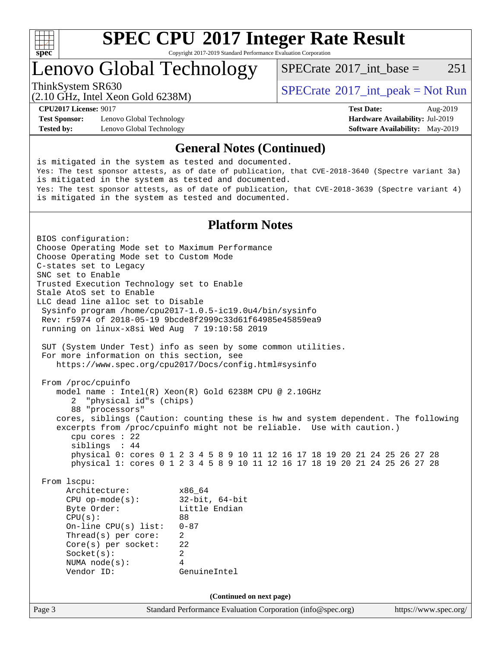

Copyright 2017-2019 Standard Performance Evaluation Corporation

### Lenovo Global Technology

 $SPECTate^{\circledcirc}2017$  int base = 251

(2.10 GHz, Intel Xeon Gold 6238M)

ThinkSystem SR630<br>  $SPECTA = Not Run$ <br>  $SPECTA = Not Run$ 

**[Test Sponsor:](http://www.spec.org/auto/cpu2017/Docs/result-fields.html#TestSponsor)** Lenovo Global Technology **[Hardware Availability:](http://www.spec.org/auto/cpu2017/Docs/result-fields.html#HardwareAvailability)** Jul-2019 **[Tested by:](http://www.spec.org/auto/cpu2017/Docs/result-fields.html#Testedby)** Lenovo Global Technology **[Software Availability:](http://www.spec.org/auto/cpu2017/Docs/result-fields.html#SoftwareAvailability)** May-2019

**[CPU2017 License:](http://www.spec.org/auto/cpu2017/Docs/result-fields.html#CPU2017License)** 9017 **[Test Date:](http://www.spec.org/auto/cpu2017/Docs/result-fields.html#TestDate)** Aug-2019

#### **[General Notes \(Continued\)](http://www.spec.org/auto/cpu2017/Docs/result-fields.html#GeneralNotes)**

is mitigated in the system as tested and documented. Yes: The test sponsor attests, as of date of publication, that CVE-2018-3640 (Spectre variant 3a) is mitigated in the system as tested and documented. Yes: The test sponsor attests, as of date of publication, that CVE-2018-3639 (Spectre variant 4) is mitigated in the system as tested and documented.

### **[Platform Notes](http://www.spec.org/auto/cpu2017/Docs/result-fields.html#PlatformNotes)**

Page 3 Standard Performance Evaluation Corporation [\(info@spec.org\)](mailto:info@spec.org) <https://www.spec.org/> BIOS configuration: Choose Operating Mode set to Maximum Performance Choose Operating Mode set to Custom Mode C-states set to Legacy SNC set to Enable Trusted Execution Technology set to Enable Stale AtoS set to Enable LLC dead line alloc set to Disable Sysinfo program /home/cpu2017-1.0.5-ic19.0u4/bin/sysinfo Rev: r5974 of 2018-05-19 9bcde8f2999c33d61f64985e45859ea9 running on linux-x8si Wed Aug 7 19:10:58 2019 SUT (System Under Test) info as seen by some common utilities. For more information on this section, see <https://www.spec.org/cpu2017/Docs/config.html#sysinfo> From /proc/cpuinfo model name : Intel(R) Xeon(R) Gold 6238M CPU @ 2.10GHz 2 "physical id"s (chips) 88 "processors" cores, siblings (Caution: counting these is hw and system dependent. The following excerpts from /proc/cpuinfo might not be reliable. Use with caution.) cpu cores : 22 siblings : 44 physical 0: cores 0 1 2 3 4 5 8 9 10 11 12 16 17 18 19 20 21 24 25 26 27 28 physical 1: cores 0 1 2 3 4 5 8 9 10 11 12 16 17 18 19 20 21 24 25 26 27 28 From lscpu: Architecture: x86\_64 CPU op-mode(s): 32-bit, 64-bit Byte Order: Little Endian  $CPU(s):$  88 On-line CPU(s) list: 0-87 Thread(s) per core: 2 Core(s) per socket: 22 Socket(s): 2 NUMA node(s): 4 Vendor ID: GenuineIntel **(Continued on next page)**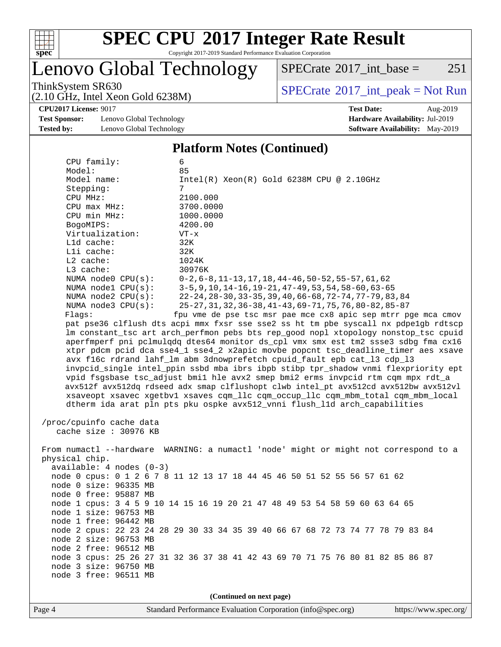

Copyright 2017-2019 Standard Performance Evaluation Corporation

### Lenovo Global Technology

 $SPECTate$ <sup>®</sup>[2017\\_int\\_base =](http://www.spec.org/auto/cpu2017/Docs/result-fields.html#SPECrate2017intbase) 251

(2.10 GHz, Intel Xeon Gold 6238M)

ThinkSystem SR630<br>  $(2.10 \text{ GHz. Intel } Y_{\text{QCD}}$  Gold 6238M)

**[Test Sponsor:](http://www.spec.org/auto/cpu2017/Docs/result-fields.html#TestSponsor)** Lenovo Global Technology **[Hardware Availability:](http://www.spec.org/auto/cpu2017/Docs/result-fields.html#HardwareAvailability)** Jul-2019 **[Tested by:](http://www.spec.org/auto/cpu2017/Docs/result-fields.html#Testedby)** Lenovo Global Technology **[Software Availability:](http://www.spec.org/auto/cpu2017/Docs/result-fields.html#SoftwareAvailability)** May-2019

**[CPU2017 License:](http://www.spec.org/auto/cpu2017/Docs/result-fields.html#CPU2017License)** 9017 **[Test Date:](http://www.spec.org/auto/cpu2017/Docs/result-fields.html#TestDate)** Aug-2019

#### **[Platform Notes \(Continued\)](http://www.spec.org/auto/cpu2017/Docs/result-fields.html#PlatformNotes)**

| CPU family:                                       | 6                                                                                    |  |  |  |  |  |
|---------------------------------------------------|--------------------------------------------------------------------------------------|--|--|--|--|--|
| Model:                                            | 85                                                                                   |  |  |  |  |  |
| Model name:                                       | $Intel(R) Xeon(R) Gold 6238M CPU @ 2.10GHz$                                          |  |  |  |  |  |
| Stepping:                                         | 7                                                                                    |  |  |  |  |  |
| CPU MHz:                                          | 2100.000                                                                             |  |  |  |  |  |
| CPU max MHz:                                      | 3700.0000                                                                            |  |  |  |  |  |
| CPU min MHz:                                      | 1000.0000                                                                            |  |  |  |  |  |
| BogoMIPS:                                         | 4200.00                                                                              |  |  |  |  |  |
| Virtualization:                                   | $VT - x$                                                                             |  |  |  |  |  |
| L1d cache:                                        | 32K                                                                                  |  |  |  |  |  |
| Lli cache:                                        | 32K                                                                                  |  |  |  |  |  |
| L2 cache:                                         | 1024K                                                                                |  |  |  |  |  |
| $L3$ cache:                                       | 30976K                                                                               |  |  |  |  |  |
| NUMA $node0$ $CPU(s)$ :                           | $0-2, 6-8, 11-13, 17, 18, 44-46, 50-52, 55-57, 61, 62$                               |  |  |  |  |  |
| NUMA nodel CPU(s):                                | $3-5, 9, 10, 14-16, 19-21, 47-49, 53, 54, 58-60, 63-65$                              |  |  |  |  |  |
| NUMA $node2$ $CPU(s)$ :                           | 22-24, 28-30, 33-35, 39, 40, 66-68, 72-74, 77-79, 83, 84                             |  |  |  |  |  |
| NUMA node3 CPU(s):                                | 25-27, 31, 32, 36-38, 41-43, 69-71, 75, 76, 80-82, 85-87                             |  |  |  |  |  |
| Flags:                                            | fpu vme de pse tsc msr pae mce cx8 apic sep mtrr pge mca cmov                        |  |  |  |  |  |
|                                                   | pat pse36 clflush dts acpi mmx fxsr sse sse2 ss ht tm pbe syscall nx pdpelgb rdtscp  |  |  |  |  |  |
|                                                   | lm constant_tsc art arch_perfmon pebs bts rep_good nopl xtopology nonstop_tsc cpuid  |  |  |  |  |  |
|                                                   | aperfmperf pni pclmulqdq dtes64 monitor ds_cpl vmx smx est tm2 ssse3 sdbg fma cx16   |  |  |  |  |  |
|                                                   | xtpr pdcm pcid dca sse4_1 sse4_2 x2apic movbe popcnt tsc_deadline_timer aes xsave    |  |  |  |  |  |
|                                                   | avx f16c rdrand lahf_lm abm 3dnowprefetch cpuid_fault epb cat_13 cdp_13              |  |  |  |  |  |
|                                                   | invpcid_single intel_ppin ssbd mba ibrs ibpb stibp tpr_shadow vnmi flexpriority ept  |  |  |  |  |  |
|                                                   | vpid fsgsbase tsc_adjust bmil hle avx2 smep bmi2 erms invpcid rtm cqm mpx rdt_a      |  |  |  |  |  |
|                                                   | avx512f avx512dq rdseed adx smap clflushopt clwb intel pt avx512cd avx512bw avx512vl |  |  |  |  |  |
|                                                   | xsaveopt xsavec xgetbvl xsaves cqm_llc cqm_occup_llc cqm_mbm_total cqm_mbm_local     |  |  |  |  |  |
|                                                   | dtherm ida arat pln pts pku ospke avx512_vnni flush_lld arch_capabilities            |  |  |  |  |  |
|                                                   |                                                                                      |  |  |  |  |  |
| /proc/cpuinfo cache data<br>cache size : 30976 KB |                                                                                      |  |  |  |  |  |
|                                                   |                                                                                      |  |  |  |  |  |
|                                                   | From numactl --hardware WARNING: a numactl 'node' might or might not correspond to a |  |  |  |  |  |
| physical chip.                                    |                                                                                      |  |  |  |  |  |
| $available: 4 nodes (0-3)$                        |                                                                                      |  |  |  |  |  |
|                                                   | node 0 cpus: 0 1 2 6 7 8 11 12 13 17 18 44 45 46 50 51 52 55 56 57 61 62             |  |  |  |  |  |
| node 0 size: 96335 MB                             |                                                                                      |  |  |  |  |  |
| node 0 free: 95887 MB                             |                                                                                      |  |  |  |  |  |
|                                                   | node 1 cpus: 3 4 5 9 10 14 15 16 19 20 21 47 48 49 53 54 58 59 60 63 64 65           |  |  |  |  |  |
| node 1 size: 96753 MB                             |                                                                                      |  |  |  |  |  |
| node 1 free: 96442 MB                             |                                                                                      |  |  |  |  |  |
|                                                   | node 2 cpus: 22 23 24 28 29 30 33 34 35 39 40 66 67 68 72 73 74 77 78 79 83 84       |  |  |  |  |  |
| node 2 size: 96753 MB                             |                                                                                      |  |  |  |  |  |
| node 2 free: 96512 MB                             |                                                                                      |  |  |  |  |  |
|                                                   | node 3 cpus: 25 26 27 31 32 36 37 38 41 42 43 69 70 71 75 76 80 81 82 85 86 87       |  |  |  |  |  |
| node 3 size: 96750 MB                             |                                                                                      |  |  |  |  |  |
| node 3 free: 96511 MB                             |                                                                                      |  |  |  |  |  |
|                                                   |                                                                                      |  |  |  |  |  |
| (Continued on next page)                          |                                                                                      |  |  |  |  |  |
|                                                   |                                                                                      |  |  |  |  |  |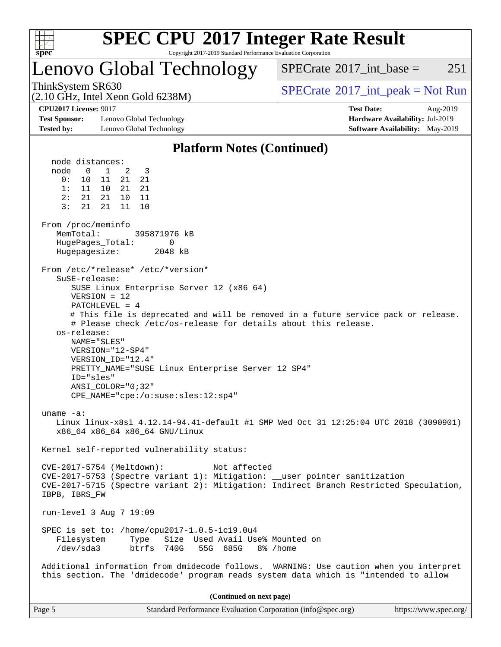

Copyright 2017-2019 Standard Performance Evaluation Corporation

### Lenovo Global Technology

 $SPECTate$ <sup>®</sup>2017 int base = 251

(2.10 GHz, Intel Xeon Gold 6238M)

ThinkSystem SR630<br>  $SPECTA = Not Run$ <br>  $SPECTA = Not Run$ 

**[Test Sponsor:](http://www.spec.org/auto/cpu2017/Docs/result-fields.html#TestSponsor)** Lenovo Global Technology **[Hardware Availability:](http://www.spec.org/auto/cpu2017/Docs/result-fields.html#HardwareAvailability)** Jul-2019 **[Tested by:](http://www.spec.org/auto/cpu2017/Docs/result-fields.html#Testedby)** Lenovo Global Technology **[Software Availability:](http://www.spec.org/auto/cpu2017/Docs/result-fields.html#SoftwareAvailability)** May-2019

**[CPU2017 License:](http://www.spec.org/auto/cpu2017/Docs/result-fields.html#CPU2017License)** 9017 **[Test Date:](http://www.spec.org/auto/cpu2017/Docs/result-fields.html#TestDate)** Aug-2019

### **[Platform Notes \(Continued\)](http://www.spec.org/auto/cpu2017/Docs/result-fields.html#PlatformNotes)**

 node distances: node 0 1 2 3 0: 10 11 21 21 1: 11 10 21 21 2: 21 21 10 11 3: 21 21 11 10 From /proc/meminfo MemTotal: 395871976 kB HugePages\_Total: 0 Hugepagesize: 2048 kB From /etc/\*release\* /etc/\*version\* SuSE-release: SUSE Linux Enterprise Server 12 (x86\_64) VERSION = 12 PATCHLEVEL = 4 # This file is deprecated and will be removed in a future service pack or release. # Please check /etc/os-release for details about this release. os-release: NAME="SLES" VERSION="12-SP4" VERSION\_ID="12.4" PRETTY\_NAME="SUSE Linux Enterprise Server 12 SP4" ID="sles" ANSI\_COLOR="0;32" CPE\_NAME="cpe:/o:suse:sles:12:sp4" uname -a: Linux linux-x8si 4.12.14-94.41-default #1 SMP Wed Oct 31 12:25:04 UTC 2018 (3090901) x86\_64 x86\_64 x86\_64 GNU/Linux Kernel self-reported vulnerability status: CVE-2017-5754 (Meltdown): Not affected CVE-2017-5753 (Spectre variant 1): Mitigation: \_\_user pointer sanitization CVE-2017-5715 (Spectre variant 2): Mitigation: Indirect Branch Restricted Speculation, IBPB, IBRS\_FW run-level 3 Aug 7 19:09 SPEC is set to: /home/cpu2017-1.0.5-ic19.0u4 Filesystem Type Size Used Avail Use% Mounted on /dev/sda3 btrfs 740G 55G 685G 8% /home Additional information from dmidecode follows. WARNING: Use caution when you interpret this section. The 'dmidecode' program reads system data which is "intended to allow **(Continued on next page)**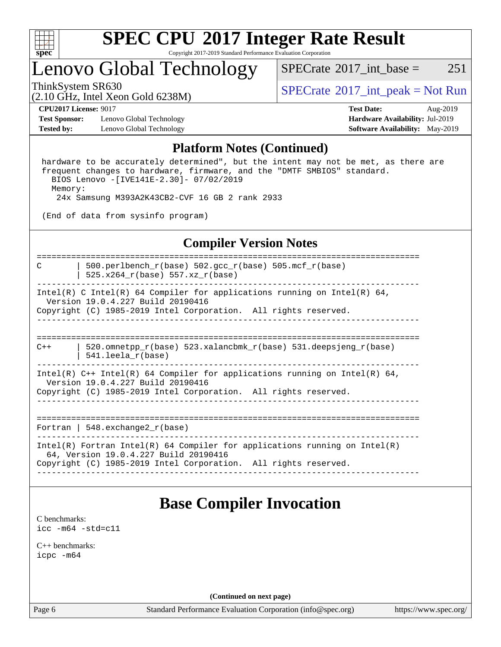

Copyright 2017-2019 Standard Performance Evaluation Corporation

### Lenovo Global Technology

 $SPECTate$ <sup>®</sup>2017 int base = 251

(2.10 GHz, Intel Xeon Gold 6238M)

ThinkSystem SR630<br>  $SPECTA = Not Run 2017$  int\_peak = Not Run

**[Test Sponsor:](http://www.spec.org/auto/cpu2017/Docs/result-fields.html#TestSponsor)** Lenovo Global Technology **[Hardware Availability:](http://www.spec.org/auto/cpu2017/Docs/result-fields.html#HardwareAvailability)** Jul-2019 **[Tested by:](http://www.spec.org/auto/cpu2017/Docs/result-fields.html#Testedby)** Lenovo Global Technology **[Software Availability:](http://www.spec.org/auto/cpu2017/Docs/result-fields.html#SoftwareAvailability)** May-2019

**[CPU2017 License:](http://www.spec.org/auto/cpu2017/Docs/result-fields.html#CPU2017License)** 9017 **[Test Date:](http://www.spec.org/auto/cpu2017/Docs/result-fields.html#TestDate)** Aug-2019

### **[Platform Notes \(Continued\)](http://www.spec.org/auto/cpu2017/Docs/result-fields.html#PlatformNotes)**

 hardware to be accurately determined", but the intent may not be met, as there are frequent changes to hardware, firmware, and the "DMTF SMBIOS" standard. BIOS Lenovo -[IVE141E-2.30]- 07/02/2019 Memory: 24x Samsung M393A2K43CB2-CVF 16 GB 2 rank 2933

(End of data from sysinfo program)

### **[Compiler Version Notes](http://www.spec.org/auto/cpu2017/Docs/result-fields.html#CompilerVersionNotes)**

============================================================================== C | 500.perlbench\_r(base) 502.gcc\_r(base) 505.mcf\_r(base) | 525.x264  $r(base)$  557.xz  $r(base)$ ------------------------------------------------------------------------------ Intel(R) C Intel(R) 64 Compiler for applications running on Intel(R) 64, Version 19.0.4.227 Build 20190416 Copyright (C) 1985-2019 Intel Corporation. All rights reserved. ------------------------------------------------------------------------------ ============================================================================== C++ | 520.omnetpp\_r(base) 523.xalancbmk\_r(base) 531.deepsjeng\_r(base) | 541.leela\_r(base) ------------------------------------------------------------------------------ Intel(R) C++ Intel(R) 64 Compiler for applications running on Intel(R) 64, Version 19.0.4.227 Build 20190416 Copyright (C) 1985-2019 Intel Corporation. All rights reserved. ------------------------------------------------------------------------------ ============================================================================== Fortran | 548.exchange2\_r(base) ------------------------------------------------------------------------------ Intel(R) Fortran Intel(R) 64 Compiler for applications running on Intel(R) 64, Version 19.0.4.227 Build 20190416 Copyright (C) 1985-2019 Intel Corporation. All rights reserved. ------------------------------------------------------------------------------

### **[Base Compiler Invocation](http://www.spec.org/auto/cpu2017/Docs/result-fields.html#BaseCompilerInvocation)**

[C benchmarks](http://www.spec.org/auto/cpu2017/Docs/result-fields.html#Cbenchmarks): [icc -m64 -std=c11](http://www.spec.org/cpu2017/results/res2019q3/cpu2017-20190819-17067.flags.html#user_CCbase_intel_icc_64bit_c11_33ee0cdaae7deeeab2a9725423ba97205ce30f63b9926c2519791662299b76a0318f32ddfffdc46587804de3178b4f9328c46fa7c2b0cd779d7a61945c91cd35)

[C++ benchmarks:](http://www.spec.org/auto/cpu2017/Docs/result-fields.html#CXXbenchmarks) [icpc -m64](http://www.spec.org/cpu2017/results/res2019q3/cpu2017-20190819-17067.flags.html#user_CXXbase_intel_icpc_64bit_4ecb2543ae3f1412ef961e0650ca070fec7b7afdcd6ed48761b84423119d1bf6bdf5cad15b44d48e7256388bc77273b966e5eb805aefd121eb22e9299b2ec9d9)

**(Continued on next page)**

Page 6 Standard Performance Evaluation Corporation [\(info@spec.org\)](mailto:info@spec.org) <https://www.spec.org/>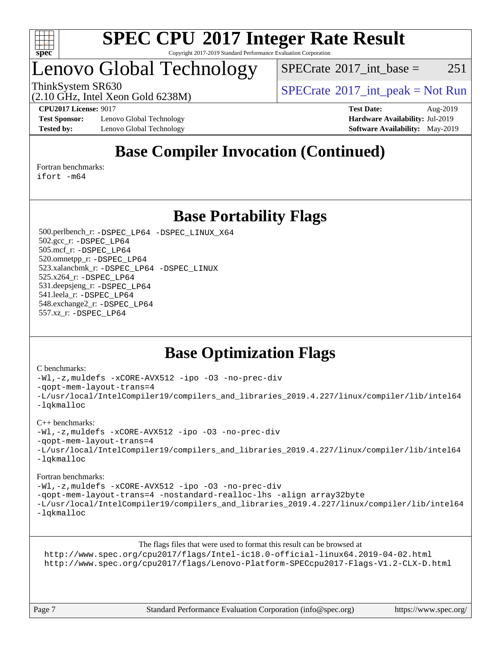

Copyright 2017-2019 Standard Performance Evaluation Corporation

### Lenovo Global Technology

 $SPECTate@2017\_int\_base = 251$ 

ThinkSystem SR630<br>  $SPECTA = Not Run$ <br>  $SPECTA = Not Run$ 

**[Test Sponsor:](http://www.spec.org/auto/cpu2017/Docs/result-fields.html#TestSponsor)** Lenovo Global Technology **[Hardware Availability:](http://www.spec.org/auto/cpu2017/Docs/result-fields.html#HardwareAvailability)** Jul-2019 **[Tested by:](http://www.spec.org/auto/cpu2017/Docs/result-fields.html#Testedby)** Lenovo Global Technology **[Software Availability:](http://www.spec.org/auto/cpu2017/Docs/result-fields.html#SoftwareAvailability)** May-2019

(2.10 GHz, Intel Xeon Gold 6238M)

**[CPU2017 License:](http://www.spec.org/auto/cpu2017/Docs/result-fields.html#CPU2017License)** 9017 **[Test Date:](http://www.spec.org/auto/cpu2017/Docs/result-fields.html#TestDate)** Aug-2019

### **[Base Compiler Invocation \(Continued\)](http://www.spec.org/auto/cpu2017/Docs/result-fields.html#BaseCompilerInvocation)**

[Fortran benchmarks](http://www.spec.org/auto/cpu2017/Docs/result-fields.html#Fortranbenchmarks):

[ifort -m64](http://www.spec.org/cpu2017/results/res2019q3/cpu2017-20190819-17067.flags.html#user_FCbase_intel_ifort_64bit_24f2bb282fbaeffd6157abe4f878425411749daecae9a33200eee2bee2fe76f3b89351d69a8130dd5949958ce389cf37ff59a95e7a40d588e8d3a57e0c3fd751)

### **[Base Portability Flags](http://www.spec.org/auto/cpu2017/Docs/result-fields.html#BasePortabilityFlags)**

 500.perlbench\_r: [-DSPEC\\_LP64](http://www.spec.org/cpu2017/results/res2019q3/cpu2017-20190819-17067.flags.html#b500.perlbench_r_basePORTABILITY_DSPEC_LP64) [-DSPEC\\_LINUX\\_X64](http://www.spec.org/cpu2017/results/res2019q3/cpu2017-20190819-17067.flags.html#b500.perlbench_r_baseCPORTABILITY_DSPEC_LINUX_X64) 502.gcc\_r: [-DSPEC\\_LP64](http://www.spec.org/cpu2017/results/res2019q3/cpu2017-20190819-17067.flags.html#suite_basePORTABILITY502_gcc_r_DSPEC_LP64) 505.mcf\_r: [-DSPEC\\_LP64](http://www.spec.org/cpu2017/results/res2019q3/cpu2017-20190819-17067.flags.html#suite_basePORTABILITY505_mcf_r_DSPEC_LP64) 520.omnetpp\_r: [-DSPEC\\_LP64](http://www.spec.org/cpu2017/results/res2019q3/cpu2017-20190819-17067.flags.html#suite_basePORTABILITY520_omnetpp_r_DSPEC_LP64) 523.xalancbmk\_r: [-DSPEC\\_LP64](http://www.spec.org/cpu2017/results/res2019q3/cpu2017-20190819-17067.flags.html#suite_basePORTABILITY523_xalancbmk_r_DSPEC_LP64) [-DSPEC\\_LINUX](http://www.spec.org/cpu2017/results/res2019q3/cpu2017-20190819-17067.flags.html#b523.xalancbmk_r_baseCXXPORTABILITY_DSPEC_LINUX) 525.x264\_r: [-DSPEC\\_LP64](http://www.spec.org/cpu2017/results/res2019q3/cpu2017-20190819-17067.flags.html#suite_basePORTABILITY525_x264_r_DSPEC_LP64) 531.deepsjeng\_r: [-DSPEC\\_LP64](http://www.spec.org/cpu2017/results/res2019q3/cpu2017-20190819-17067.flags.html#suite_basePORTABILITY531_deepsjeng_r_DSPEC_LP64) 541.leela\_r: [-DSPEC\\_LP64](http://www.spec.org/cpu2017/results/res2019q3/cpu2017-20190819-17067.flags.html#suite_basePORTABILITY541_leela_r_DSPEC_LP64) 548.exchange2\_r: [-DSPEC\\_LP64](http://www.spec.org/cpu2017/results/res2019q3/cpu2017-20190819-17067.flags.html#suite_basePORTABILITY548_exchange2_r_DSPEC_LP64) 557.xz\_r: [-DSPEC\\_LP64](http://www.spec.org/cpu2017/results/res2019q3/cpu2017-20190819-17067.flags.html#suite_basePORTABILITY557_xz_r_DSPEC_LP64)

### **[Base Optimization Flags](http://www.spec.org/auto/cpu2017/Docs/result-fields.html#BaseOptimizationFlags)**

#### [C benchmarks](http://www.spec.org/auto/cpu2017/Docs/result-fields.html#Cbenchmarks):

[-Wl,-z,muldefs](http://www.spec.org/cpu2017/results/res2019q3/cpu2017-20190819-17067.flags.html#user_CCbase_link_force_multiple1_b4cbdb97b34bdee9ceefcfe54f4c8ea74255f0b02a4b23e853cdb0e18eb4525ac79b5a88067c842dd0ee6996c24547a27a4b99331201badda8798ef8a743f577) [-xCORE-AVX512](http://www.spec.org/cpu2017/results/res2019q3/cpu2017-20190819-17067.flags.html#user_CCbase_f-xCORE-AVX512) [-ipo](http://www.spec.org/cpu2017/results/res2019q3/cpu2017-20190819-17067.flags.html#user_CCbase_f-ipo) [-O3](http://www.spec.org/cpu2017/results/res2019q3/cpu2017-20190819-17067.flags.html#user_CCbase_f-O3) [-no-prec-div](http://www.spec.org/cpu2017/results/res2019q3/cpu2017-20190819-17067.flags.html#user_CCbase_f-no-prec-div) [-qopt-mem-layout-trans=4](http://www.spec.org/cpu2017/results/res2019q3/cpu2017-20190819-17067.flags.html#user_CCbase_f-qopt-mem-layout-trans_fa39e755916c150a61361b7846f310bcdf6f04e385ef281cadf3647acec3f0ae266d1a1d22d972a7087a248fd4e6ca390a3634700869573d231a252c784941a8) [-L/usr/local/IntelCompiler19/compilers\\_and\\_libraries\\_2019.4.227/linux/compiler/lib/intel64](http://www.spec.org/cpu2017/results/res2019q3/cpu2017-20190819-17067.flags.html#user_CCbase_qkmalloc_link_0ffe0cb02c68ef1b443a077c7888c10c67ca0d1dd7138472156f06a085bbad385f78d49618ad55dca9db3b1608e84afc2f69b4003b1d1ca498a9fc1462ccefda) [-lqkmalloc](http://www.spec.org/cpu2017/results/res2019q3/cpu2017-20190819-17067.flags.html#user_CCbase_qkmalloc_link_lib_79a818439969f771c6bc311cfd333c00fc099dad35c030f5aab9dda831713d2015205805422f83de8875488a2991c0a156aaa600e1f9138f8fc37004abc96dc5)

#### [C++ benchmarks](http://www.spec.org/auto/cpu2017/Docs/result-fields.html#CXXbenchmarks):

[-Wl,-z,muldefs](http://www.spec.org/cpu2017/results/res2019q3/cpu2017-20190819-17067.flags.html#user_CXXbase_link_force_multiple1_b4cbdb97b34bdee9ceefcfe54f4c8ea74255f0b02a4b23e853cdb0e18eb4525ac79b5a88067c842dd0ee6996c24547a27a4b99331201badda8798ef8a743f577) [-xCORE-AVX512](http://www.spec.org/cpu2017/results/res2019q3/cpu2017-20190819-17067.flags.html#user_CXXbase_f-xCORE-AVX512) [-ipo](http://www.spec.org/cpu2017/results/res2019q3/cpu2017-20190819-17067.flags.html#user_CXXbase_f-ipo) [-O3](http://www.spec.org/cpu2017/results/res2019q3/cpu2017-20190819-17067.flags.html#user_CXXbase_f-O3) [-no-prec-div](http://www.spec.org/cpu2017/results/res2019q3/cpu2017-20190819-17067.flags.html#user_CXXbase_f-no-prec-div)

[-qopt-mem-layout-trans=4](http://www.spec.org/cpu2017/results/res2019q3/cpu2017-20190819-17067.flags.html#user_CXXbase_f-qopt-mem-layout-trans_fa39e755916c150a61361b7846f310bcdf6f04e385ef281cadf3647acec3f0ae266d1a1d22d972a7087a248fd4e6ca390a3634700869573d231a252c784941a8)

```
-L/usr/local/IntelCompiler19/compilers_and_libraries_2019.4.227/linux/compiler/lib/intel64
-lqkmalloc
```
#### [Fortran benchmarks](http://www.spec.org/auto/cpu2017/Docs/result-fields.html#Fortranbenchmarks):

[-Wl,-z,muldefs](http://www.spec.org/cpu2017/results/res2019q3/cpu2017-20190819-17067.flags.html#user_FCbase_link_force_multiple1_b4cbdb97b34bdee9ceefcfe54f4c8ea74255f0b02a4b23e853cdb0e18eb4525ac79b5a88067c842dd0ee6996c24547a27a4b99331201badda8798ef8a743f577) [-xCORE-AVX512](http://www.spec.org/cpu2017/results/res2019q3/cpu2017-20190819-17067.flags.html#user_FCbase_f-xCORE-AVX512) [-ipo](http://www.spec.org/cpu2017/results/res2019q3/cpu2017-20190819-17067.flags.html#user_FCbase_f-ipo) [-O3](http://www.spec.org/cpu2017/results/res2019q3/cpu2017-20190819-17067.flags.html#user_FCbase_f-O3) [-no-prec-div](http://www.spec.org/cpu2017/results/res2019q3/cpu2017-20190819-17067.flags.html#user_FCbase_f-no-prec-div) [-qopt-mem-layout-trans=4](http://www.spec.org/cpu2017/results/res2019q3/cpu2017-20190819-17067.flags.html#user_FCbase_f-qopt-mem-layout-trans_fa39e755916c150a61361b7846f310bcdf6f04e385ef281cadf3647acec3f0ae266d1a1d22d972a7087a248fd4e6ca390a3634700869573d231a252c784941a8) [-nostandard-realloc-lhs](http://www.spec.org/cpu2017/results/res2019q3/cpu2017-20190819-17067.flags.html#user_FCbase_f_2003_std_realloc_82b4557e90729c0f113870c07e44d33d6f5a304b4f63d4c15d2d0f1fab99f5daaed73bdb9275d9ae411527f28b936061aa8b9c8f2d63842963b95c9dd6426b8a) [-align array32byte](http://www.spec.org/cpu2017/results/res2019q3/cpu2017-20190819-17067.flags.html#user_FCbase_align_array32byte_b982fe038af199962ba9a80c053b8342c548c85b40b8e86eb3cc33dee0d7986a4af373ac2d51c3f7cf710a18d62fdce2948f201cd044323541f22fc0fffc51b6) [-L/usr/local/IntelCompiler19/compilers\\_and\\_libraries\\_2019.4.227/linux/compiler/lib/intel64](http://www.spec.org/cpu2017/results/res2019q3/cpu2017-20190819-17067.flags.html#user_FCbase_qkmalloc_link_0ffe0cb02c68ef1b443a077c7888c10c67ca0d1dd7138472156f06a085bbad385f78d49618ad55dca9db3b1608e84afc2f69b4003b1d1ca498a9fc1462ccefda) [-lqkmalloc](http://www.spec.org/cpu2017/results/res2019q3/cpu2017-20190819-17067.flags.html#user_FCbase_qkmalloc_link_lib_79a818439969f771c6bc311cfd333c00fc099dad35c030f5aab9dda831713d2015205805422f83de8875488a2991c0a156aaa600e1f9138f8fc37004abc96dc5)

[The flags files that were used to format this result can be browsed at](tmsearch)

<http://www.spec.org/cpu2017/flags/Intel-ic18.0-official-linux64.2019-04-02.html> <http://www.spec.org/cpu2017/flags/Lenovo-Platform-SPECcpu2017-Flags-V1.2-CLX-D.html>